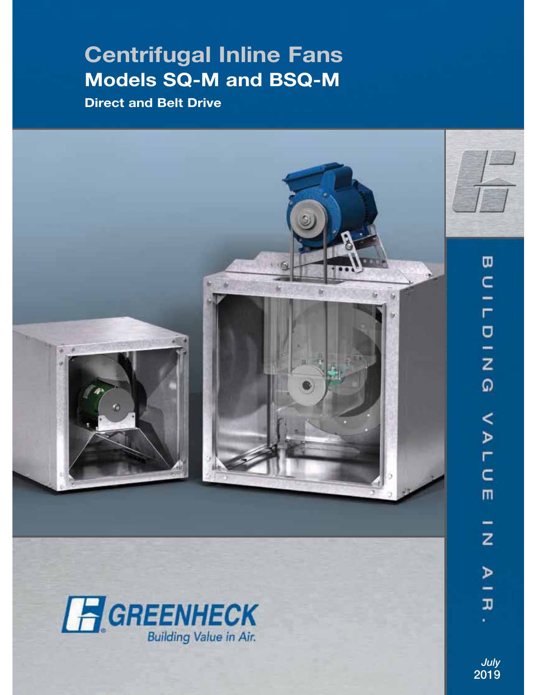# **Centrifugal Inline Fans Models SQ-M and BSQ-M**

**Direct and Belt Drive**





z  $\overline{a}$ œ

*July* **2019**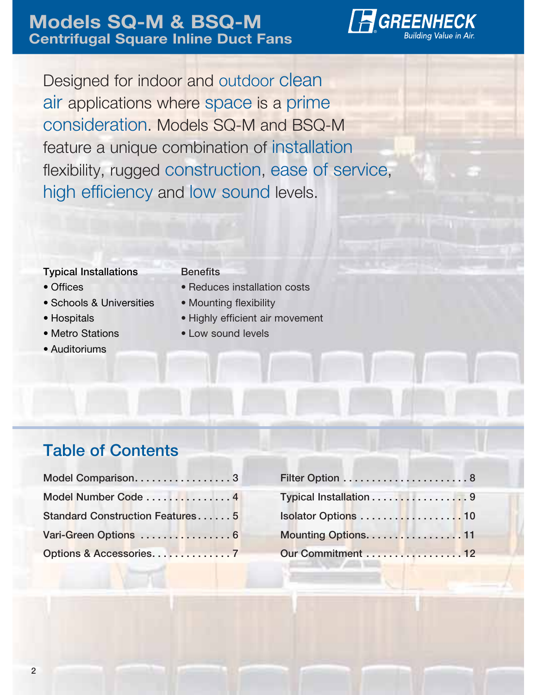

Designed for indoor and outdoor clean air applications where space is a prime consideration. Models SQ-M and BSQ-M feature a unique combination of installation flexibility, rugged construction, ease of service, high efficiency and low sound levels.

### **Typical Installations**

#### **Benefits**

- Offices
- Schools & Universities
- Hospitals
- Metro Stations
- Auditoriums
- Reduces installation costs
- Mounting flexibility
- Highly efficient air movement
- Low sound levels

### **Table of Contents**

| Model Comparison3                      |  |
|----------------------------------------|--|
| Model Number Code  4                   |  |
| <b>Standard Construction Features5</b> |  |
| Vari-Green Options  6                  |  |
|                                        |  |

| Filter Option 8        |  |
|------------------------|--|
| Typical Installation 9 |  |
| Isolator Options 10    |  |
| Mounting Options. 11   |  |
| Our Commitment 12      |  |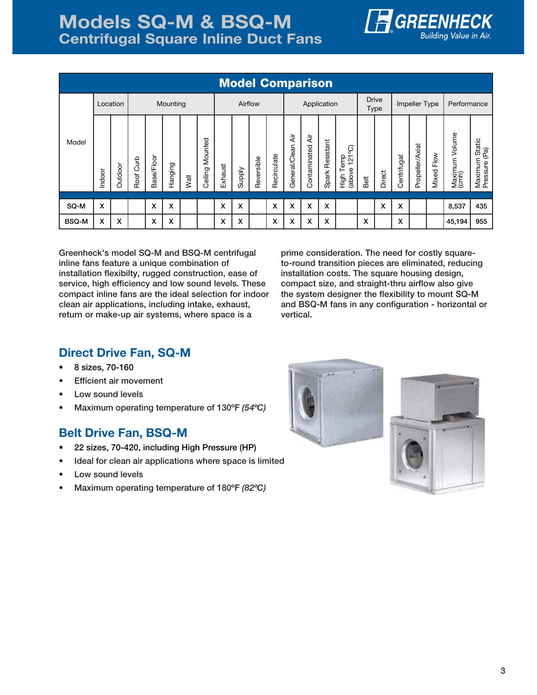

### **Models SQ-M & BSQ-M Centrifugal Square Inline Duct Fans**

| <b>Model Comparison</b> |          |         |              |            |         |         |                    |             |        |            |                             |                      |                     |                 |                                                 |      |        |             |                 |               |                                |                                            |
|-------------------------|----------|---------|--------------|------------|---------|---------|--------------------|-------------|--------|------------|-----------------------------|----------------------|---------------------|-----------------|-------------------------------------------------|------|--------|-------------|-----------------|---------------|--------------------------------|--------------------------------------------|
|                         | Location |         | Mounting     |            |         | Airflow |                    | Application |        |            | <b>Drive</b><br><b>Type</b> |                      | Impeller Type       |                 | Performance                                     |      |        |             |                 |               |                                |                                            |
| Model                   | Indoor   | Outdoor | Curb<br>Roof | Base/Floor | Hanging | Wall    | Mounted<br>Ceiling | Exhaust     | Supply | Reversible | Recirculate                 | दें<br>General/Clean | दें<br>Contaminated | Spark Resistant | ဂ္ဂ<br>emp<br>$\frac{1}{2}$<br>(above<br>)<br>도 | Belt | Direct | Centrifugal | Propeller/Axial | Flow<br>Mixed | Volume<br>Maximum <sup>1</sup> | n Static<br>(Pa)<br>Maximum<br>Pressure (F |
| SQ-M                    | X        |         |              | X          | x       |         |                    | X           | X      |            | X                           | X                    | X                   | X               |                                                 |      | X      | X           |                 |               | 8,537                          | 435                                        |
| <b>BSQ-M</b>            | x        | x       |              | x          | x       |         |                    | x           | x      |            | X                           | x                    | X                   | X               |                                                 | X    |        | X           |                 |               | 45,194                         | 955                                        |

**Greenheck's model SQ-M and BSQ-M centrifugal inline fans feature a unique combination of installation flexibilty, rugged construction, ease of service, high efficiency and low sound levels. These compact inline fans are the ideal selection for indoor clean air applications, including intake, exhaust, return or make-up air systems, where space is a** 

**prime consideration. The need for costly squareto-round transition pieces are eliminated, reducing installation costs. The square housing design, compact size, and straight-thru airflow also give the system designer the flexibility to mount SQ-M and BSQ-M fans in any configuration - horizontal or vertical.**

### **Direct Drive Fan, SQ-M**

- **8 sizes, 70-160**
- **Efficient air movement**
- **Low sound levels**
- **Maximum operating temperature of 130ºF** *(54ºC)*

### **Belt Drive Fan, BSQ-M**

- **22 sizes, 70-420, including High Pressure (HP)**
- **Ideal for clean air applications where space is limited**
- **Low sound levels**
- **Maximum operating temperature of 180ºF** *(82ºC)*



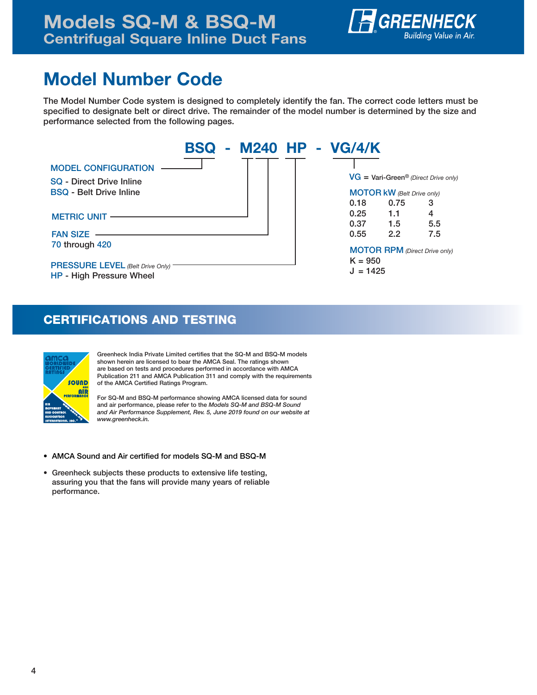

# **Model Number Code**

**The Model Number Code system is designed to completely identify the fan. The correct code letters must be specified to designate belt or direct drive. The remainder of the model number is determined by the size and performance selected from the following pages.**



### **CERTIFICATIONS AND TESTING**



**Greenheck India Private Limited certifies that the SQ-M and BSQ-M models shown herein are licensed to bear the AMCA Seal. The ratings shown are based on tests and procedures performed in accordance with AMCA Publication 211 and AMCA Publication 311 and comply with the requirements of the AMCA Certified Ratings Program.**

**For SQ-M and BSQ-M performance showing AMCA licensed data for sound and air performance, please refer to the** *Models SQ-M and BSQ-M Sound and Air Performance Supplement, Rev. 5, June 2019 found on our website at www.greenheck.in.*

- **AMCA Sound and Air certified for models SQ-M and BSQ-M**
- **Greenheck subjects these products to extensive life testing, assuring you that the fans will provide many years of reliable performance.**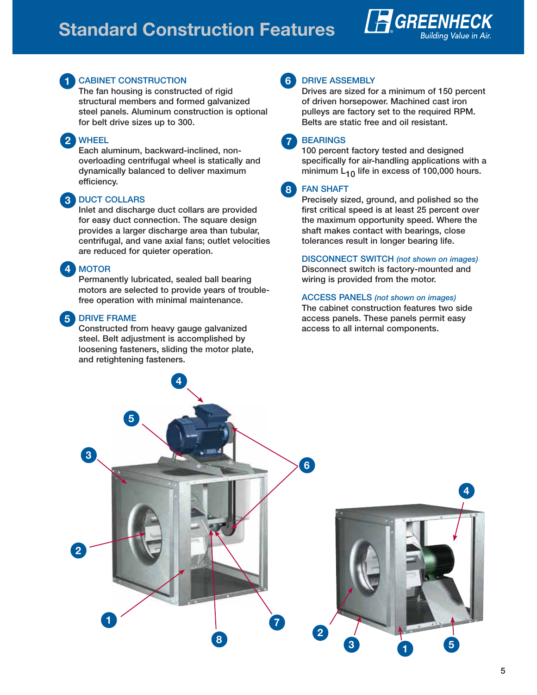## **Standard Construction Features**





#### **1 CABINET CONSTRUCTION**

**The fan housing is constructed of rigid structural members and formed galvanized steel panels. Aluminum construction is optional for belt drive sizes up to 300.**

#### **2 WHEEL**

**Each aluminum, backward-inclined, nonoverloading centrifugal wheel is statically and dynamically balanced to deliver maximum efficiency.**

### **3 DUCT COLLARS**

**Inlet and discharge duct collars are provided for easy duct connection. The square design provides a larger discharge area than tubular, centrifugal, and vane axial fans; outlet velocities are reduced for quieter operation.**

#### **MOTOR**

**4**

**Permanently lubricated, sealed ball bearing motors are selected to provide years of troublefree operation with minimal maintenance.** 

#### **5 DRIVE FRAME**

**Constructed from heavy gauge galvanized steel. Belt adjustment is accomplished by loosening fasteners, sliding the motor plate, and retightening fasteners.**



#### **DRIVE ASSEMBLY**

**Drives are sized for a minimum of 150 percent of driven horsepower. Machined cast iron pulleys are factory set to the required RPM. Belts are static free and oil resistant.**

**BEARINGS**

**100 percent factory tested and designed specifically for air-handling applications with a minimum L10 life in excess of 100,000 hours.**

#### **FAN SHAFT 8**

**Precisely sized, ground, and polished so the first critical speed is at least 25 percent over the maximum opportunity speed. Where the shaft makes contact with bearings, close tolerances result in longer bearing life.**

**DISCONNECT SWITCH** *(not shown on images)* **Disconnect switch is factory-mounted and wiring is provided from the motor.**

#### **ACCESS PANELS** *(not shown on images)*

**The cabinet construction features two side access panels. These panels permit easy access to all internal components.**

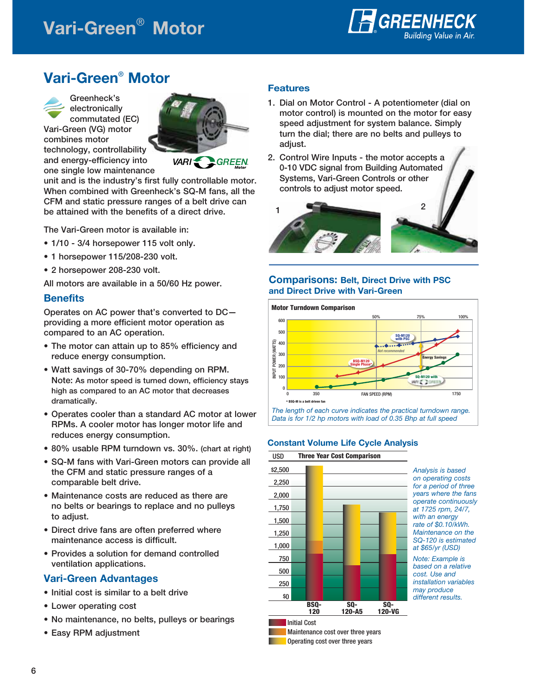# **Vari-Green**® **Motor**



### **Vari-Green® Motor**



**Greenheck's electronically commutated (EC) Vari-Green (VG) motor combines motor technology, controllability and energy-efficiency into** 

**one single low maintenance** 



VARI GREEN

**unit and is the industry's first fully controllable motor. When combined with Greenheck's SQ-M fans, all the CFM and static pressure ranges of a belt drive can be attained with the benefits of a direct drive.** 

**The Vari-Green motor is available in:**

- **1/10 3/4 horsepower 115 volt only.**
- **1 horsepower 115/208-230 volt.**
- **2 horsepower 208-230 volt.**

**All motors are available in a 50/60 Hz power.** 

#### **Benefits**

**Operates on AC power that's converted to DC providing a more efficient motor operation as compared to an AC operation.**

- **The motor can attain up to 85% efficiency and reduce energy consumption.**
- **Watt savings of 30-70% depending on RPM. Note: As motor speed is turned down, efficiency stays high as compared to an AC motor that decreases dramatically.**
- **Operates cooler than a standard AC motor at lower RPMs. A cooler motor has longer motor life and reduces energy consumption.**
- **80% usable RPM turndown vs. 30%. (chart at right)**
- **SQ-M fans with Vari-Green motors can provide all the CFM and static pressure ranges of a comparable belt drive.**
- **Maintenance costs are reduced as there are no belts or bearings to replace and no pulleys to adjust.**
- **Direct drive fans are often preferred where maintenance access is difficult.**
- **Provides a solution for demand controlled ventilation applications.**

#### **Vari-Green Advantages**

- **Initial cost is similar to a belt drive**
- **Lower operating cost**
- **No maintenance, no belts, pulleys or bearings**
- **Easy RPM adjustment**

#### **Features**

- **1. Dial on Motor Control A potentiometer (dial on motor control) is mounted on the motor for easy speed adjustment for system balance. Simply turn the dial; there are no belts and pulleys to adjust.**
- **2. Control Wire Inputs the motor accepts a 0-10 VDC signal from Building Automated Systems, Vari-Green Controls or other controls to adjust motor speed.**



#### **Comparisons: Belt, Direct Drive with PSC and Direct Drive with Vari-Green**



Data is for 1/2 hp motors with load of 0.35 Bhp at full speed

#### **Constant Volume Life Cycle Analysis**

USD **Three Year Cost Comparison**



Analysis is based on operating costs for a period of three years where the fans operate continuously at 1725 rpm, 24/7, with an energy rate of \$0.10/kWh. Maintenance on the SQ-120 is estimated at \$65/yr (USD)

Note: Example is based on a relative cost. Use and installation variables may produce different results.

**Initial Cost** Maintenance cost over three years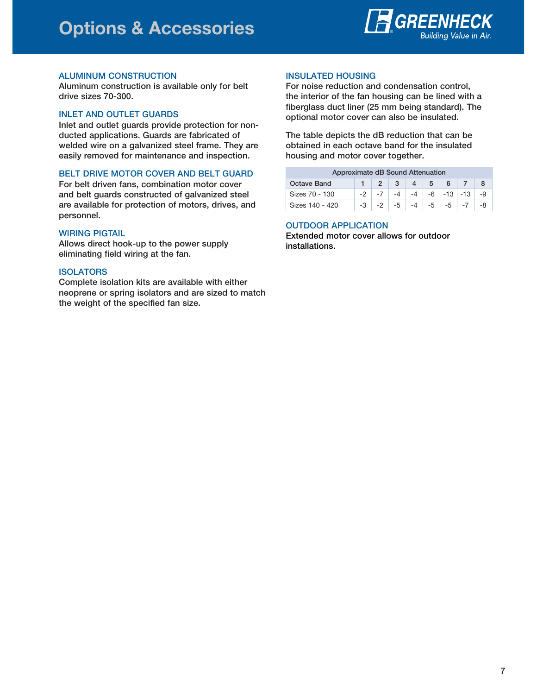

#### **ALUMINUM CONSTRUCTION**

**Aluminum construction is available only for belt drive sizes 70-300.**

#### **INLET AND OUTLET GUARDS**

**Inlet and outlet guards provide protection for nonducted applications. Guards are fabricated of welded wire on a galvanized steel frame. They are easily removed for maintenance and inspection.**

#### **BELT DRIVE MOTOR COVER AND BELT GUARD**

**For belt driven fans, combination motor cover and belt guards constructed of galvanized steel are available for protection of motors, drives, and personnel.**

#### **WIRING PIGTAIL**

**Allows direct hook-up to the power supply eliminating field wiring at the fan.**

#### **ISOLATORS**

**Complete isolation kits are available with either neoprene or spring isolators and are sized to match the weight of the specified fan size.**

#### **INSULATED HOUSING**

**For noise reduction and condensation control, the interior of the fan housing can be lined with a fiberglass duct liner (25 mm being standard). The optional motor cover can also be insulated.**

**The table depicts the dB reduction that can be obtained in each octave band for the insulated housing and motor cover together.**

#### **Approximate dB Sound Attenuation**

| <b>Octave Band</b> |      |         | 3 | $\overline{4}$ |  |                               |                                 |
|--------------------|------|---------|---|----------------|--|-------------------------------|---------------------------------|
| Sizes 70 - 130     |      | $1 - 7$ |   |                |  |                               | $-4$ $-4$ $-6$ $-13$ $-13$ $-9$ |
| Sizes 140 - 420    | $-3$ | $-2$    |   |                |  | $-5$ $-4$ $-5$ $-5$ $-7$ $-7$ |                                 |

#### **OUTDOOR APPLICATION**

**Extended motor cover allows for outdoor installations.**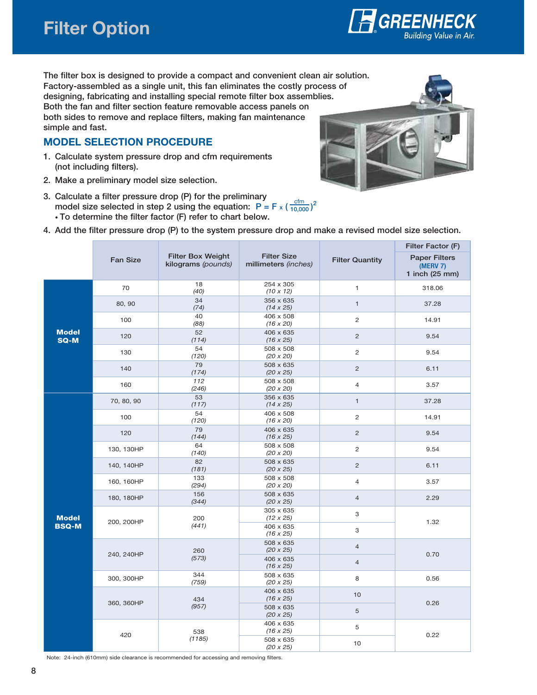

**The filter box is designed to provide a compact and convenient clean air solution. Factory-assembled as a single unit, this fan eliminates the costly process of designing, fabricating and installing special remote filter box assemblies. Both the fan and filter section feature removable access panels on both sides to remove and replace filters, making fan maintenance simple and fast.**

### **MODEL SELECTION PROCEDURE**

- **1. Calculate system pressure drop and cfm requirements (not including filters).**
- **2. Make a preliminary model size selection.**
- **3. Calculate a filter pressure drop (P) for the preliminary**  model size selected in step 2 using the equation:  $P = F \times (\frac{cfm}{10,000})^2$ **• To determine the filter factor (F) refer to chart below.**



|                      |                 |                                                |                                            |                        | Filter Factor (F)                                  |  |
|----------------------|-----------------|------------------------------------------------|--------------------------------------------|------------------------|----------------------------------------------------|--|
|                      | <b>Fan Size</b> | <b>Filter Box Weight</b><br>kilograms (pounds) | <b>Filter Size</b><br>millimeters (inches) | <b>Filter Quantity</b> | <b>Paper Filters</b><br>(MERV 7)<br>1 inch (25 mm) |  |
|                      | 70              | 18<br>(40)                                     | 254 x 305<br>$(10 \times 12)$              | $\mathbf{1}$           | 318.06                                             |  |
| <b>Model</b><br>SQ-M | 80, 90          | 34<br>(74)                                     | 356 x 635<br>$(14 \times 25)$              | $\mathbf{1}$           | 37.28                                              |  |
|                      | 100             | 40<br>(88)                                     | 406 x 508<br>$(16 \times 20)$              | $\overline{c}$         | 14.91                                              |  |
|                      | 120             | 52<br>(114)                                    | 406 x 635<br>$(16 \times 25)$              | $\overline{c}$         | 9.54                                               |  |
|                      | 130             | 54<br>(120)                                    | 508 x 508<br>$(20 \times 20)$              | $\overline{c}$         | 9.54                                               |  |
|                      | 140             | 79<br>(174)                                    | 508 x 635<br>$(20 \times 25)$              | $\overline{c}$         | 6.11                                               |  |
|                      | 160             | 112<br>(246)                                   | 508 x 508<br>$(20 \times 20)$              | $\overline{4}$         | 3.57                                               |  |
|                      | 70, 80, 90      | 53<br>(117)                                    | 356 x 635<br>$(14 \times 25)$              | $\mathbf{1}$           | 37.28                                              |  |
|                      | 100             | 54<br>(120)                                    | 406 x 508<br>$(16 \times 20)$              | $\overline{c}$         | 14.91                                              |  |
|                      | 120             | 79<br>(144)                                    | 406 x 635<br>$(16 \times 25)$              | $\overline{c}$         | 9.54                                               |  |
|                      | 130, 130HP      | 64<br>(140)                                    | 508 x 508<br>$(20 \times 20)$              | $\overline{c}$         | 9.54                                               |  |
|                      | 140, 140HP      | 82<br>(181)                                    | 508 x 635<br>$(20 \times 25)$              | $\overline{c}$         | 6.11                                               |  |
|                      | 160, 160HP      | 133<br>(294)                                   | 508 x 508<br>$(20 \times 20)$              | $\overline{4}$         | 3.57                                               |  |
|                      | 180, 180HP      | 156<br>(344)                                   | 508 x 635<br>$(20 \times 25)$              | $\overline{4}$         | 2.29                                               |  |
| <b>Model</b>         | 200, 200HP      | 200                                            | 305 x 635<br>$(12 \times 25)$              | 3                      | 1.32                                               |  |
| <b>BSQ-M</b>         |                 | (441)                                          | 406 x 635<br>$(16 \times 25)$              | 3                      |                                                    |  |
|                      | 240, 240HP      | 260                                            | 508 x 635<br>$(20 \times 25)$              | $\sqrt{4}$             | 0.70                                               |  |
|                      |                 | (573)                                          | 406 x 635<br>$(16 \times 25)$              | $\overline{4}$         |                                                    |  |
|                      | 300, 300HP      | 344<br>(759)                                   | 508 x 635<br>$(20 \times 25)$              | 8                      | 0.56                                               |  |
|                      | 360, 360HP      | 434                                            | 406 x 635<br>$(16 \times 25)$              | 10                     | 0.26                                               |  |
|                      |                 | (957)                                          | 508 x 635<br>$(20 \times 25)$              | 5                      |                                                    |  |
|                      | 420             | 538                                            | 406 x 635<br>$(16 \times 25)$              | 5                      | 0.22                                               |  |
|                      |                 | (1185)                                         | 508 x 635<br>$(20 \times 25)$              | 10                     |                                                    |  |



Note: 24-inch (610mm) side clearance is recommended for accessing and removing filters.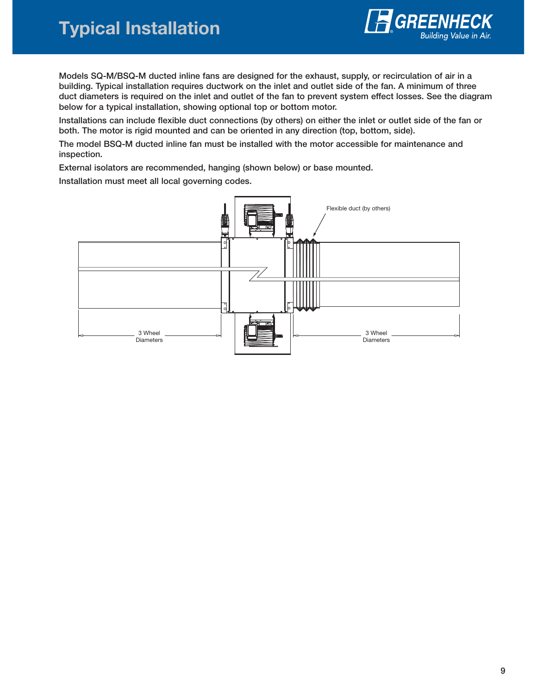# **Typical Installation**



**Models SQ-M/BSQ-M ducted inline fans are designed for the exhaust, supply, or recirculation of air in a building. Typical installation requires ductwork on the inlet and outlet side of the fan. A minimum of three duct diameters is required on the inlet and outlet of the fan to prevent system effect losses. See the diagram below for a typical installation, showing optional top or bottom motor.**

**Installations can include flexible duct connections (by others) on either the inlet or outlet side of the fan or both. The motor is rigid mounted and can be oriented in any direction (top, bottom, side).**

**The model BSQ-M ducted inline fan must be installed with the motor accessible for maintenance and inspection.**

**External isolators are recommended, hanging (shown below) or base mounted.**

**Installation must meet all local governing codes.**

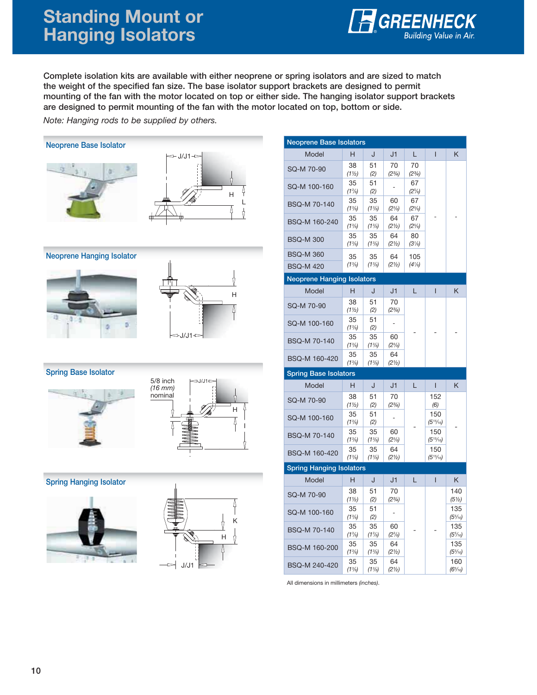## **Standing Mount or Hanging Isolators**



**Complete isolation kits are available with either neoprene or spring isolators and are sized to match the weight of the specified fan size. The base isolator support brackets are designed to permit mounting of the fan with the motor located on top or either side. The hanging isolator support brackets are designed to permit mounting of the fan with the motor located on top, bottom or side.** 

Note: Hanging rods to be supplied by others.

### **Neoprene Base Isolator**





**Neoprene Hanging Isolator**





#### **Spring Base Isolator**





#### **Spring Hanging Isolator**





| <b>Neoprene Base Isolators</b>  |                                                                                                                                                    |                                                                                                                                                                                 |                                                                                                                                                                        |                                                                                |                          |
|---------------------------------|----------------------------------------------------------------------------------------------------------------------------------------------------|---------------------------------------------------------------------------------------------------------------------------------------------------------------------------------|------------------------------------------------------------------------------------------------------------------------------------------------------------------------|--------------------------------------------------------------------------------|--------------------------|
| н                               | J                                                                                                                                                  | J1                                                                                                                                                                              | L                                                                                                                                                                      | L                                                                              | Κ                        |
| 38                              | 51                                                                                                                                                 | 70                                                                                                                                                                              | 70                                                                                                                                                                     |                                                                                |                          |
|                                 |                                                                                                                                                    |                                                                                                                                                                                 |                                                                                                                                                                        |                                                                                |                          |
| $(1^{3}/_{8})$                  | (2)                                                                                                                                                | L                                                                                                                                                                               | $(2^{5}/_{8})$                                                                                                                                                         |                                                                                |                          |
| 35                              | 35                                                                                                                                                 | 60                                                                                                                                                                              | 67                                                                                                                                                                     |                                                                                |                          |
| 35                              | 35                                                                                                                                                 | 64                                                                                                                                                                              | 67<br>$(2^{5}/_{8})$                                                                                                                                                   |                                                                                |                          |
| 35                              | 35                                                                                                                                                 | 64                                                                                                                                                                              | 80                                                                                                                                                                     |                                                                                |                          |
|                                 |                                                                                                                                                    |                                                                                                                                                                                 |                                                                                                                                                                        |                                                                                |                          |
|                                 | 35                                                                                                                                                 | 64                                                                                                                                                                              | 105                                                                                                                                                                    |                                                                                |                          |
|                                 |                                                                                                                                                    |                                                                                                                                                                                 |                                                                                                                                                                        |                                                                                |                          |
|                                 |                                                                                                                                                    |                                                                                                                                                                                 |                                                                                                                                                                        |                                                                                |                          |
| н                               | J                                                                                                                                                  | J1                                                                                                                                                                              | L.                                                                                                                                                                     | T                                                                              | Κ                        |
| 38                              |                                                                                                                                                    | 70                                                                                                                                                                              |                                                                                                                                                                        |                                                                                |                          |
|                                 |                                                                                                                                                    |                                                                                                                                                                                 |                                                                                                                                                                        |                                                                                |                          |
| $(1^{3}/_{8})$                  | (2)                                                                                                                                                |                                                                                                                                                                                 |                                                                                                                                                                        |                                                                                |                          |
| 35                              | 35                                                                                                                                                 | 60                                                                                                                                                                              |                                                                                                                                                                        |                                                                                |                          |
| 35                              | 35                                                                                                                                                 | 64                                                                                                                                                                              |                                                                                                                                                                        |                                                                                |                          |
| <b>Spring Base Isolators</b>    |                                                                                                                                                    |                                                                                                                                                                                 |                                                                                                                                                                        |                                                                                |                          |
|                                 |                                                                                                                                                    |                                                                                                                                                                                 |                                                                                                                                                                        |                                                                                |                          |
|                                 |                                                                                                                                                    |                                                                                                                                                                                 |                                                                                                                                                                        |                                                                                |                          |
| н                               | J                                                                                                                                                  | J1                                                                                                                                                                              | L                                                                                                                                                                      | ı                                                                              | K                        |
| 38<br>(11/2)                    | 51<br>(2)                                                                                                                                          | 70<br>$(2^{3}/_{4})$                                                                                                                                                            |                                                                                                                                                                        | 152<br>(6)                                                                     |                          |
| 35<br>$(1^{3}/_{8})$            | 51<br>(2)                                                                                                                                          | L,                                                                                                                                                                              |                                                                                                                                                                        | 150<br>$(5^{15}/_{16})$                                                        |                          |
| 35                              | 35                                                                                                                                                 | 60                                                                                                                                                                              |                                                                                                                                                                        | 150                                                                            |                          |
| $(1^{3}/_{8})$<br>35            | $(1^{3}/_{8})$<br>35                                                                                                                               | $(2^{3}/_{8})$<br>64                                                                                                                                                            |                                                                                                                                                                        | $(5^{15}/_{16})$<br>150                                                        |                          |
| (13/8)                          | $(1\frac{3}{8})$                                                                                                                                   | (21/2)                                                                                                                                                                          |                                                                                                                                                                        | (515/16)                                                                       |                          |
| <b>Spring Hanging Isolators</b> |                                                                                                                                                    |                                                                                                                                                                                 |                                                                                                                                                                        |                                                                                |                          |
| Н                               | J                                                                                                                                                  | J1                                                                                                                                                                              | L                                                                                                                                                                      | T                                                                              | Κ                        |
| 38<br>(11/2)                    | 51<br>(2)                                                                                                                                          | 70<br>$(2^{3}/_{4})$                                                                                                                                                            |                                                                                                                                                                        |                                                                                | 140<br>(51/2)            |
| 35<br>$(1^{3}/_{8})$            | 51<br>(2)                                                                                                                                          | L,                                                                                                                                                                              |                                                                                                                                                                        |                                                                                | 135<br>$(5\frac{5}{16})$ |
| 35<br>$(1^{3}/_{8})$            | 35<br>$(1^{3}/_{8})$                                                                                                                               | 60<br>$(2^{3}/_{8})$                                                                                                                                                            |                                                                                                                                                                        |                                                                                | 135<br>$(5\frac{5}{16})$ |
| 35<br>$(1^{3}/_{8})$            | 35<br>$(1^{3}/_{8})$                                                                                                                               | 64<br>(21/2)                                                                                                                                                                    |                                                                                                                                                                        |                                                                                | 135<br>$(5\frac{5}{16})$ |
|                                 | (11/2)<br>35<br>$(1^{3}/_{8})$<br>$(1^{3}/_{8})$<br>$(1^{3}/_{8})$<br>35<br>$(1\frac{3}{8})$<br>(11/2)<br>35<br>$(1^{3}/_{8})$<br>$(1\frac{3}{8})$ | (2)<br>51<br>$(1^{3}/_{8})$<br>$(1^{3}/_{8})$<br>$(1^{3}/_{8})$<br>$(1\frac{3}{8})$<br><b>Neoprene Hanging Isolators</b><br>51<br>(2)<br>51<br>$(1^{3}/_{8})$<br>$(1^{3}/_{8})$ | $(2^{3}/_{4})$<br>$(2^{3}/_{8})$<br>(21/2)<br>(21/2)<br>(2 <sup>1</sup> / <sub>2</sub> )<br>$(2^{3}/_{4})$<br>$\qquad \qquad \blacksquare$<br>$(2^{3}/_{8})$<br>(21/2) | $(2^{3}/_{4})$<br>67<br>$(2^{5}/_{8})$<br>$(3\frac{1}{8})$<br>$(4\frac{1}{8})$ |                          |

All dimensions in millimeters (inches).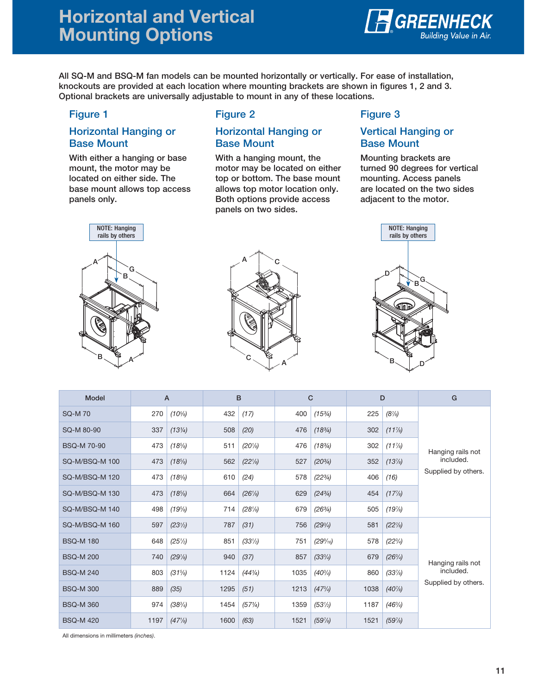### **Horizontal and Vertical Mounting Options**



**All SQ-M and BSQ-M fan models can be mounted horizontally or vertically. For ease of installation, knockouts are provided at each location where mounting brackets are shown in figures 1, 2 and 3. Optional brackets are universally adjustable to mount in any of these locations.**

#### **Figure 1**

#### **Horizontal Hanging or Base Mount**

**With either a hanging or base mount, the motor may be located on either side. The base mount allows top access panels only.**



#### **Figure 2**

#### **Horizontal Hanging or Base Mount**

**With a hanging mount, the motor may be located on either top or bottom. The base mount allows top motor location only. Both options provide access panels on two sides.**

### **Figure 3**

#### **Vertical Hanging or Base Mount**

**Mounting brackets are turned 90 degrees for vertical mounting. Access panels are located on the two sides adjacent to the motor.**





| <b>Model</b>      | $\overline{A}$ |                                   | в    |                   | C    |                   |      | D                 | G                              |  |
|-------------------|----------------|-----------------------------------|------|-------------------|------|-------------------|------|-------------------|--------------------------------|--|
| <b>SQ-M70</b>     | 270            | $(10^{5}/_{8})$                   | 432  | (17)              | 400  | $(15\%)$          | 225  | $(8\%)$           |                                |  |
| SQ-M 80-90        | 337            | $(13\frac{1}{4})$                 | 508  | (20)              | 476  | $(18^{3}/_{4})$   | 302  | $(11\frac{7}{8})$ |                                |  |
| <b>BSQ-M70-90</b> | 473            | $(18\%)$                          | 511  | $(20\% )$         | 476  | $(18\frac{3}{4})$ | 302  | $(11\%)$          |                                |  |
| SQ-M/BSQ-M 100    | 473            | $(18\%)$                          | 562  | $(22\frac{1}{8})$ | 527  | $(20^{3}/_{4})$   | 352  | $(13\%)$          | Hanging rails not<br>included. |  |
| SQ-M/BSQ-M 120    | 473            | $(18\%)$                          | 610  | (24)              | 578  | $(22^{3}/_{4})$   | 406  | (16)              | Supplied by others.            |  |
| SQ-M/BSQ-M 130    | 473            | $(18\%)$                          | 664  | $(26\%)$          | 629  | $(24^{3}/_{4})$   | 454  | $(17\%)$          |                                |  |
| SQ-M/BSQ-M 140    | 498            | $(19\%)$                          | 714  | $(28\%)$          | 679  | $(26^{3}/_{4})$   | 505  | $(19\%)$          |                                |  |
| SQ-M/BSQ-M 160    | 597            | (23 <sup>1</sup> / <sub>2</sub> ) | 787  | (31)              | 756  | $(29^{3}/_{4})$   | 581  | $(22\%)$          |                                |  |
| <b>BSQ-M180</b>   | 648            | $(25\%)$                          | 851  | $(33\frac{1}{2})$ | 751  | $(29\%_{16})$     | 578  | $(22^{3}/_{4})$   |                                |  |
| <b>BSQ-M200</b>   | 740            | $(29\%)$                          | 940  | (37)              | 857  | $(33^{3}/_{4})$   | 679  | $(26^{3}/_{4})$   | Hanging rails not              |  |
| <b>BSQ-M240</b>   | 803            | $(31\%)$                          | 1124 | $(44\frac{1}{4})$ | 1035 | $(40\frac{3}{4})$ | 860  | $(33\%)$          | included.                      |  |
| <b>BSQ-M300</b>   | 889            | (35)                              | 1295 | (51)              | 1213 | $(47^{3}/_{4})$   | 1038 | $(40\%)$          | Supplied by others.            |  |
| <b>BSQ-M360</b>   | 974            | $(38^{3}/_{4})$                   | 1454 | (57%)             | 1359 | $(53\%)$          | 1187 | $(46^{3}/_{4})$   |                                |  |
| <b>BSQ-M420</b>   | 1197           | $(47\frac{1}{8})$                 | 1600 | (63)              | 1521 | (59%)             | 1521 | $(59\%)$          |                                |  |

All dimensions in millimeters (inches).